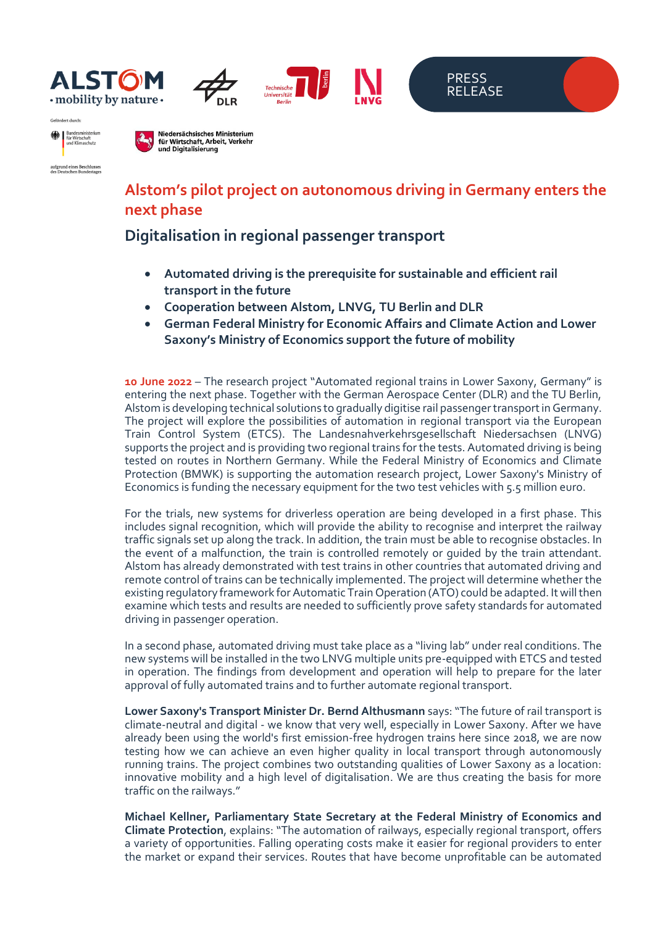







Bundesministeriu<br>für Wirtschaft<br>und Klimaschutz 纝 aufgrund eines Beschlusses<br>des Deutschen Bundestage

Cefördert durch:

Niedersächsisches Ministerium für Wirtschaft, Arbeit, Verkehr und Digitalisierung

## **Alstom's pilot project on autonomous driving in Germany enters the next phase**

## **Digitalisation in regional passenger transport**

- **Automated driving is the prerequisite for sustainable and efficient rail transport in the future**
- **Cooperation between Alstom, LNVG, TU Berlin and DLR**
- **German Federal Ministry for Economic Affairs and Climate Action and Lower Saxony's Ministry of Economics support the future of mobility**

**10 June 2022** – The research project "Automated regional trains in Lower Saxony, Germany" is entering the next phase. Together with the German Aerospace Center (DLR) and the TU Berlin, Alstom is developing technical solutions to gradually digitise rail passenger transport in Germany. The project will explore the possibilities of automation in regional transport via the European Train Control System (ETCS). The Landesnahverkehrsgesellschaft Niedersachsen (LNVG) supports the project and is providing two regional trains for the tests. Automated driving is being tested on routes in Northern Germany. While the Federal Ministry of Economics and Climate Protection (BMWK) is supporting the automation research project, Lower Saxony's Ministry of Economics is funding the necessary equipment for the two test vehicles with 5.5 million euro.

For the trials, new systems for driverless operation are being developed in a first phase. This includes signal recognition, which will provide the ability to recognise and interpret the railway traffic signals set up along the track. In addition, the train must be able to recognise obstacles. In the event of a malfunction, the train is controlled remotely or guided by the train attendant. Alstom has already demonstrated with test trains in other countries that automated driving and remote control of trains can be technically implemented. The project will determine whether the existing regulatory framework for Automatic Train Operation (ATO) could be adapted. It will then examine which tests and results are needed to sufficiently prove safety standards for automated driving in passenger operation.

In a second phase, automated driving must take place as a "living lab" under real conditions. The new systems will be installed in the two LNVG multiple units pre-equipped with ETCS and tested in operation. The findings from development and operation will help to prepare for the later approval of fully automated trains and to further automate regional transport.

**Lower Saxony's Transport Minister Dr. Bernd Althusmann** says: "The future of rail transport is climate-neutral and digital - we know that very well, especially in Lower Saxony. After we have already been using the world's first emission-free hydrogen trains here since 2018, we are now testing how we can achieve an even higher quality in local transport through autonomously running trains. The project combines two outstanding qualities of Lower Saxony as a location: innovative mobility and a high level of digitalisation. We are thus creating the basis for more traffic on the railways."

**Michael Kellner, Parliamentary State Secretary at the Federal Ministry of Economics and Climate Protection**, explains: "The automation of railways, especially regional transport, offers a variety of opportunities. Falling operating costs make it easier for regional providers to enter the market or expand their services. Routes that have become unprofitable can be automated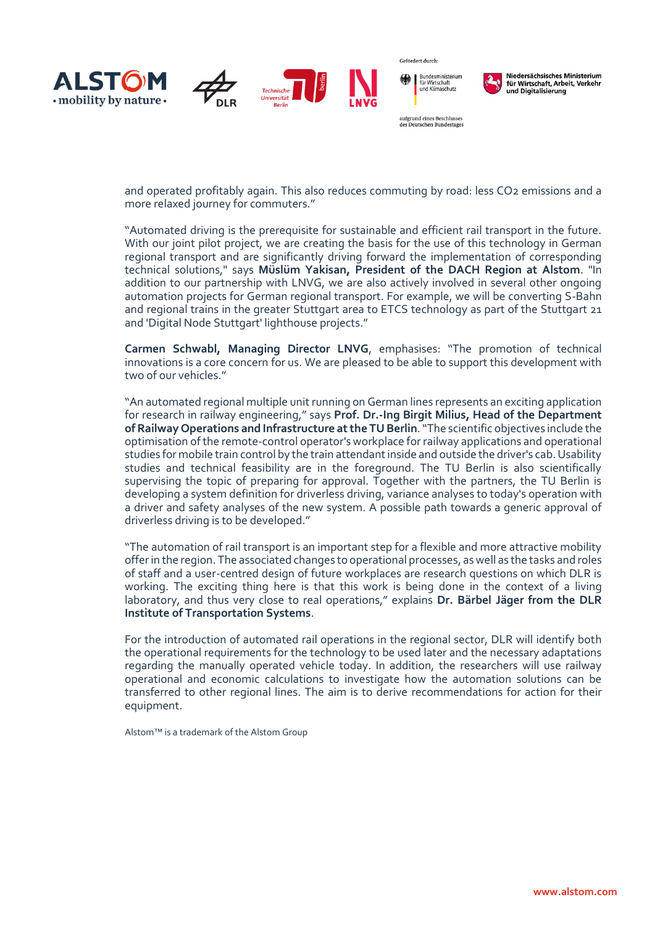

aufgrund eines Beschlusses des Deutschen Bundestages

Gefördert durch:



Niedersächsisches Ministerium für Wirtschaft, Arbeit, Verkehr und Digitalisierung

and operated profitably again. This also reduces commuting by road: less CO2 emissions and a more relaxed journey for commuters."

"Automated driving is the prerequisite for sustainable and efficient rail transport in the future. With our joint pilot project, we are creating the basis for the use of this technology in German regional transport and are significantly driving forward the implementation of corresponding technical solutions," says **Müslüm Yakisan, President of the DACH Region at Alstom**. "In addition to our partnership with LNVG, we are also actively involved in several other ongoing automation projects for German regional transport. For example, we will be converting S-Bahn and regional trains in the greater Stuttgart area to ETCS technology as part of the Stuttgart 21 and 'Digital Node Stuttgart' lighthouse projects."

**Carmen Schwabl, Managing Director LNVG**, emphasises: "The promotion of technical innovations is a core concern for us. We are pleased to be able to support this development with two of our vehicles."

"An automated regional multiple unit running on German lines represents an exciting application for research in railway engineering," says **Prof. Dr.-Ing Birgit Milius, Head of the Department of Railway Operations and Infrastructure atthe TU Berlin**. "The scientific objectives include the optimisation of the remote-control operator's workplace for railway applications and operational studies for mobile train control by the train attendant inside and outside the driver's cab. Usability studies and technical feasibility are in the foreground. The TU Berlin is also scientifically supervising the topic of preparing for approval. Together with the partners, the TU Berlin is developing a system definition for driverless driving, variance analyses to today's operation with a driver and safety analyses of the new system. A possible path towards a generic approval of driverless driving is to be developed."

"The automation of rail transport is an important step for a flexible and more attractive mobility offer in the region. The associated changes to operational processes, as well as the tasks and roles of staff and a user-centred design of future workplaces are research questions on which DLR is working. The exciting thing here is that this work is being done in the context of a living laboratory, and thus very close to real operations," explains **Dr. Bärbel Jäger from the DLR Institute of Transportation Systems**.

For the introduction of automated rail operations in the regional sector, DLR will identify both the operational requirements for the technology to be used later and the necessary adaptations regarding the manually operated vehicle today. In addition, the researchers will use railway operational and economic calculations to investigate how the automation solutions can be transferred to other regional lines. The aim is to derive recommendations for action for their equipment.

Alstom™ is a trademark of the Alstom Group